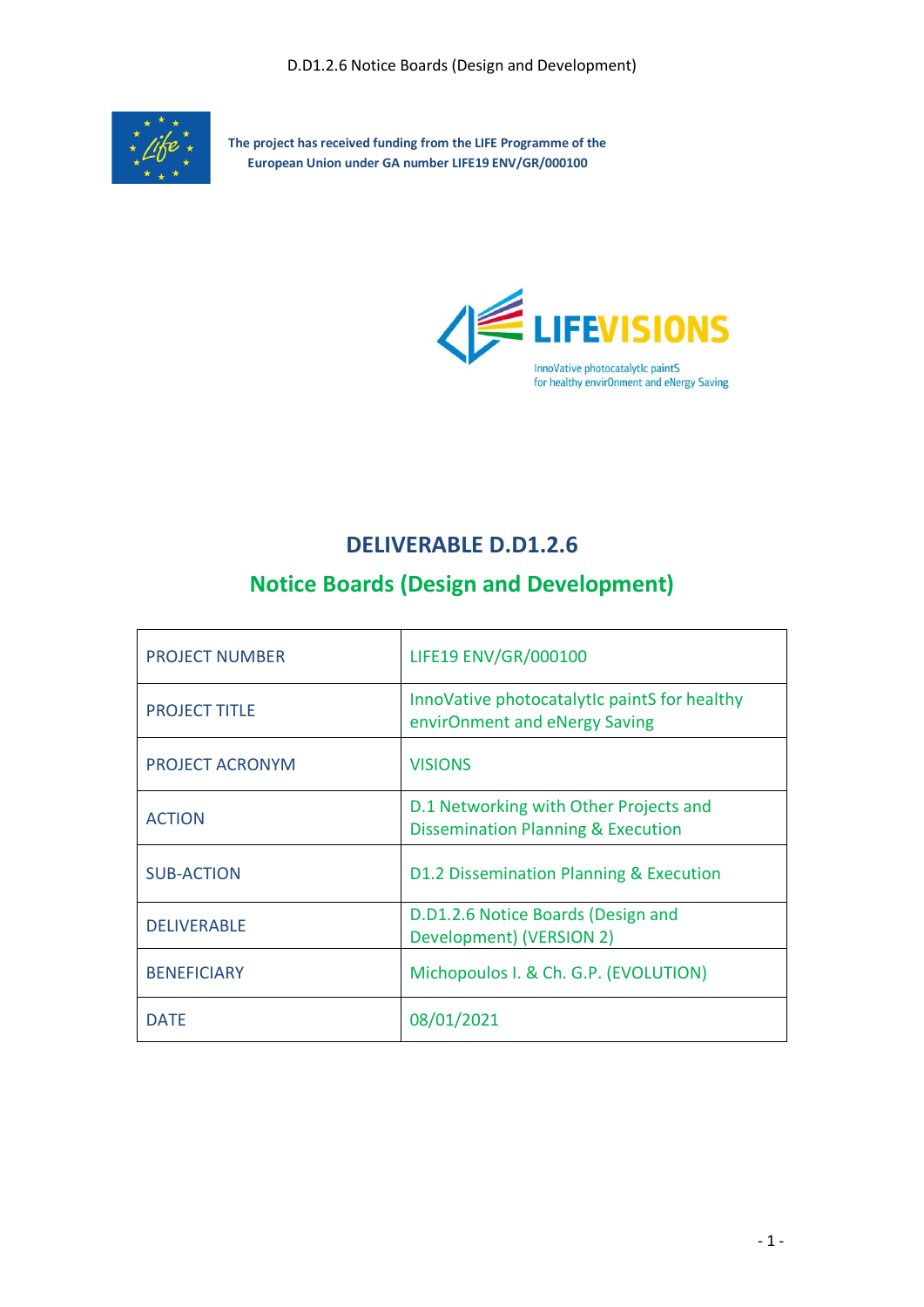

**The project has received funding from the LIFE Programme of the European Union under GA number LIFE19 ENV/GR/000100**



### **DELIVERABLE D.D1.2.6**

## **Notice Boards (Design and Development)**

| <b>PROJECT NUMBER</b>  | LIFE19 ENV/GR/000100                                                                    |
|------------------------|-----------------------------------------------------------------------------------------|
| <b>PROJECT TITLE</b>   | InnoVative photocatalytic paintS for healthy<br>envirOnment and eNergy Saving           |
| <b>PROJECT ACRONYM</b> | <b>VISIONS</b>                                                                          |
| <b>ACTION</b>          | D.1 Networking with Other Projects and<br><b>Dissemination Planning &amp; Execution</b> |
| <b>SUB-ACTION</b>      | D1.2 Dissemination Planning & Execution                                                 |
| <b>DELIVERABLE</b>     | D.D1.2.6 Notice Boards (Design and<br>Development) (VERSION 2)                          |
| <b>BENEFICIARY</b>     | Michopoulos I. & Ch. G.P. (EVOLUTION)                                                   |
| <b>DATE</b>            | 08/01/2021                                                                              |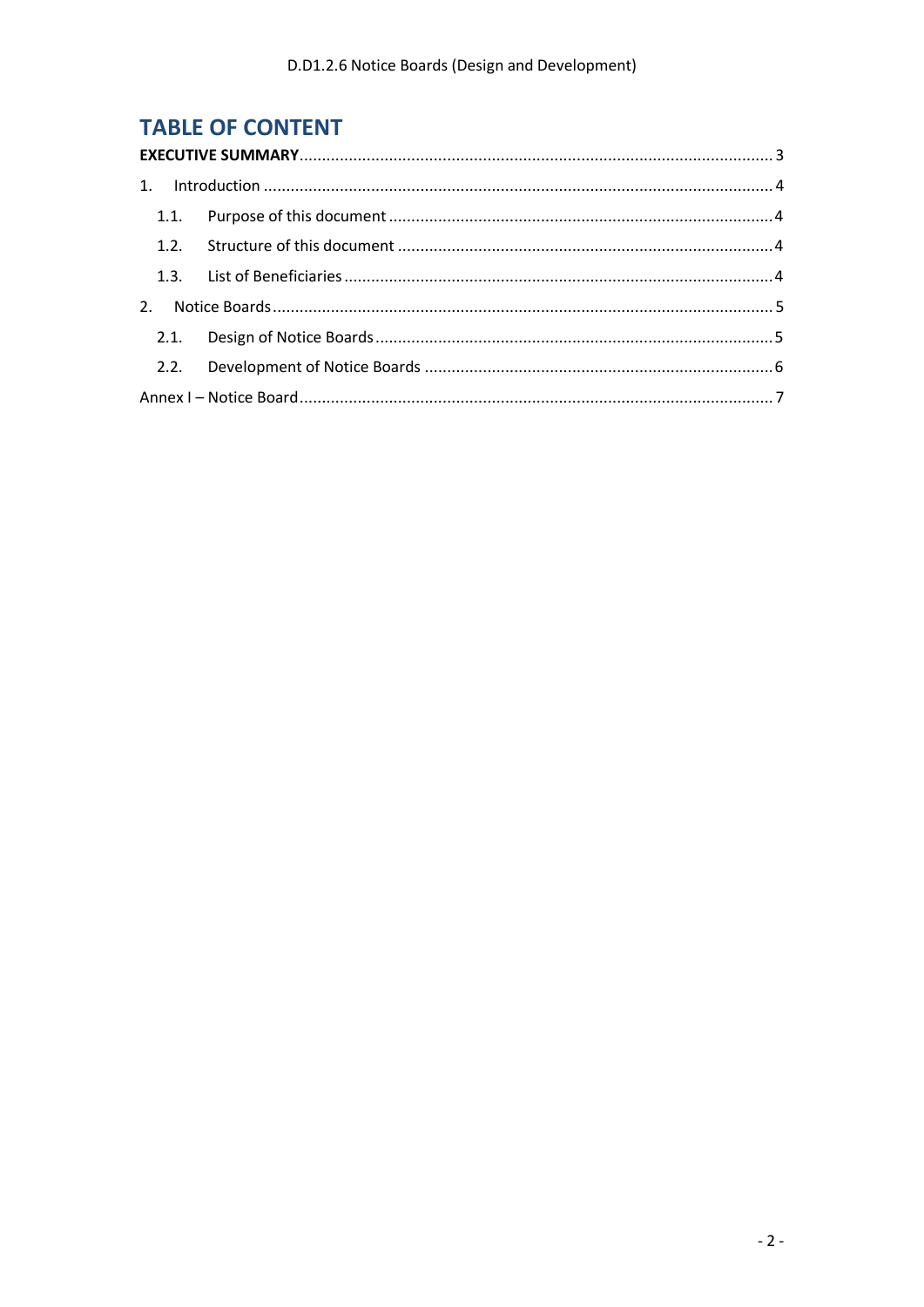# **TABLE OF CONTENT**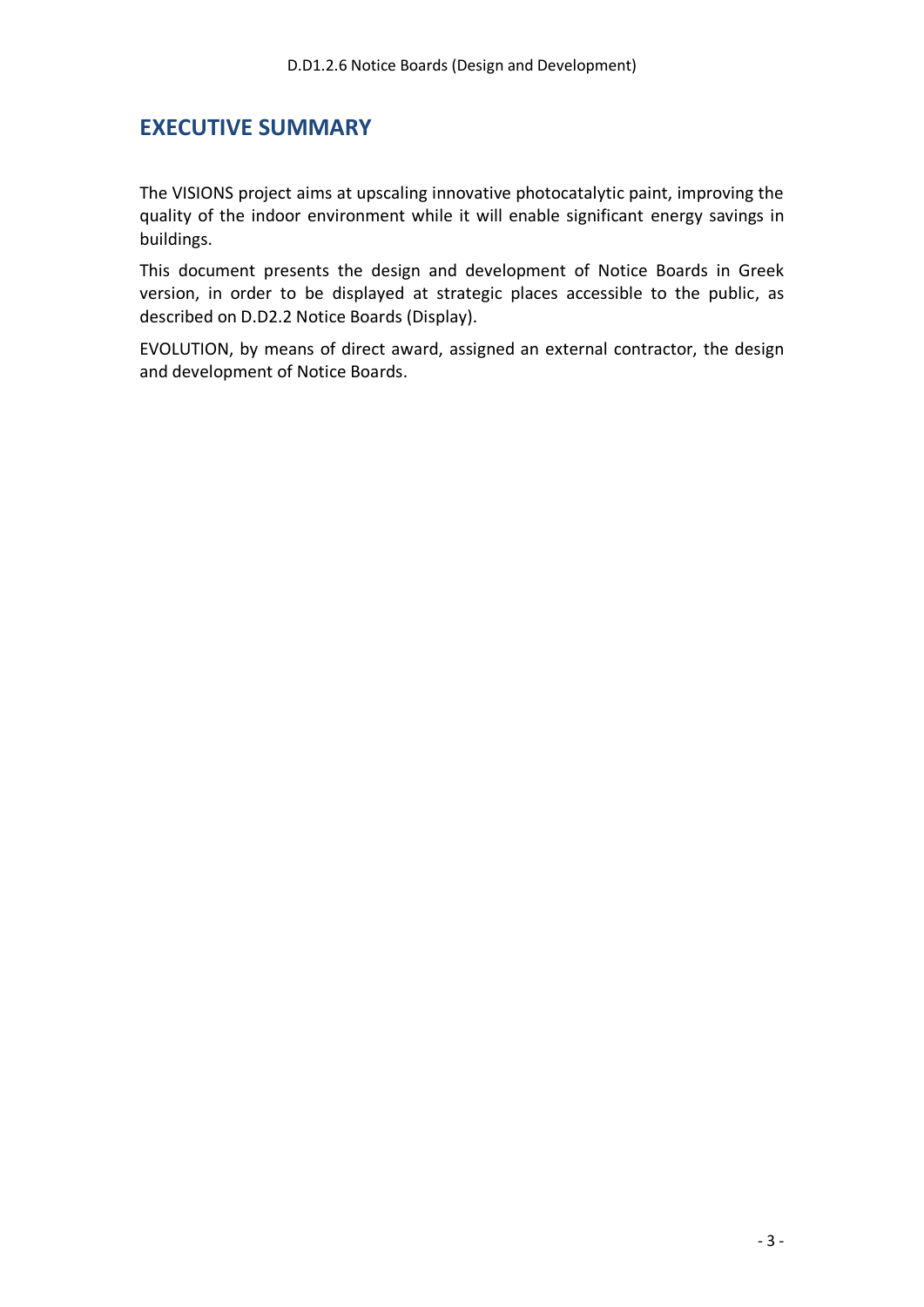#### <span id="page-2-0"></span>**EXECUTIVE SUMMARY**

The VISIONS project aims at upscaling innovative photocatalytic paint, improving the quality of the indoor environment while it will enable significant energy savings in buildings.

This document presents the design and development of Notice Boards in Greek version, in order to be displayed at strategic places accessible to the public, as described on D.D2.2 Notice Boards (Display).

EVOLUTION, by means of direct award, assigned an external contractor, the design and development of Notice Boards.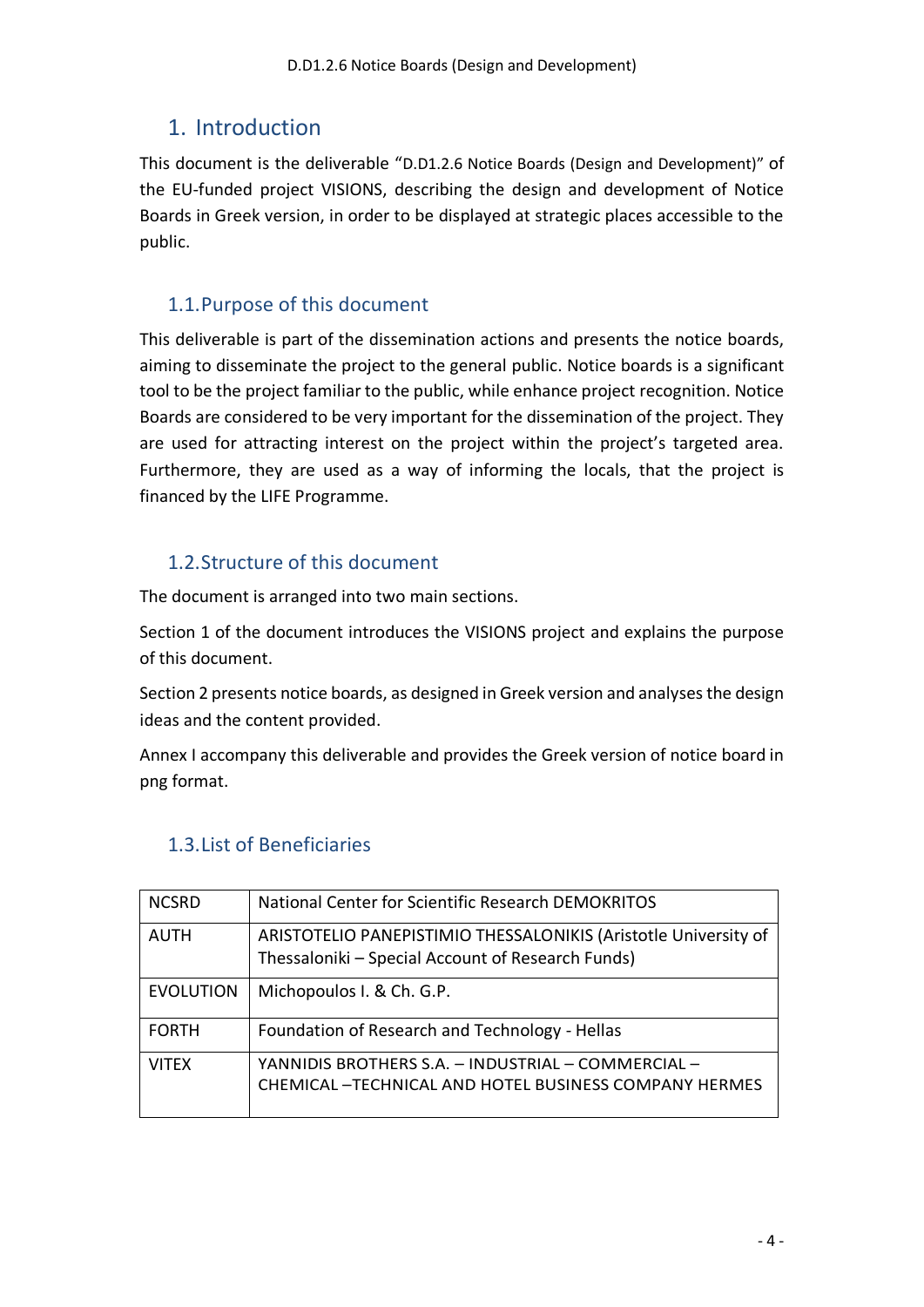#### <span id="page-3-0"></span>1. Introduction

This document is the deliverable "D.D1.2.6 Notice Boards (Design and Development)" of the EU‐funded project VISIONS, describing the design and development of Notice Boards in Greek version, in order to be displayed at strategic places accessible to the public.

#### <span id="page-3-1"></span>1.1.Purpose of this document

This deliverable is part of the dissemination actions and presents the notice boards, aiming to disseminate the project to the general public. Notice boards is a significant tool to be the project familiar to the public, while enhance project recognition. Notice Boards are considered to be very important for the dissemination of the project. They are used for attracting interest on the project within the project's targeted area. Furthermore, they are used as a way of informing the locals, that the project is financed by the LIFE Programme.

#### <span id="page-3-2"></span>1.2.Structure of this document

The document is arranged into two main sections.

Section 1 of the document introduces the VISIONS project and explains the purpose of this document.

Section 2 presents notice boards, as designed in Greek version and analyses the design ideas and the content provided.

Annex I accompany this deliverable and provides the Greek version of notice board in png format.

| <b>NCSRD</b>     | National Center for Scientific Research DEMOKRITOS                                                                   |
|------------------|----------------------------------------------------------------------------------------------------------------------|
| <b>AUTH</b>      | ARISTOTELIO PANEPISTIMIO THESSALONIKIS (Aristotle University of<br>Thessaloniki - Special Account of Research Funds) |
| <b>EVOLUTION</b> | Michopoulos I. & Ch. G.P.                                                                                            |
| <b>FORTH</b>     | Foundation of Research and Technology - Hellas                                                                       |
| <b>VITEX</b>     | YANNIDIS BROTHERS S.A. - INDUSTRIAL - COMMERCIAL -<br><b>CHEMICAL-TECHNICAL AND HOTEL BUSINESS COMPANY HERMES</b>    |

#### <span id="page-3-3"></span>1.3.List of Beneficiaries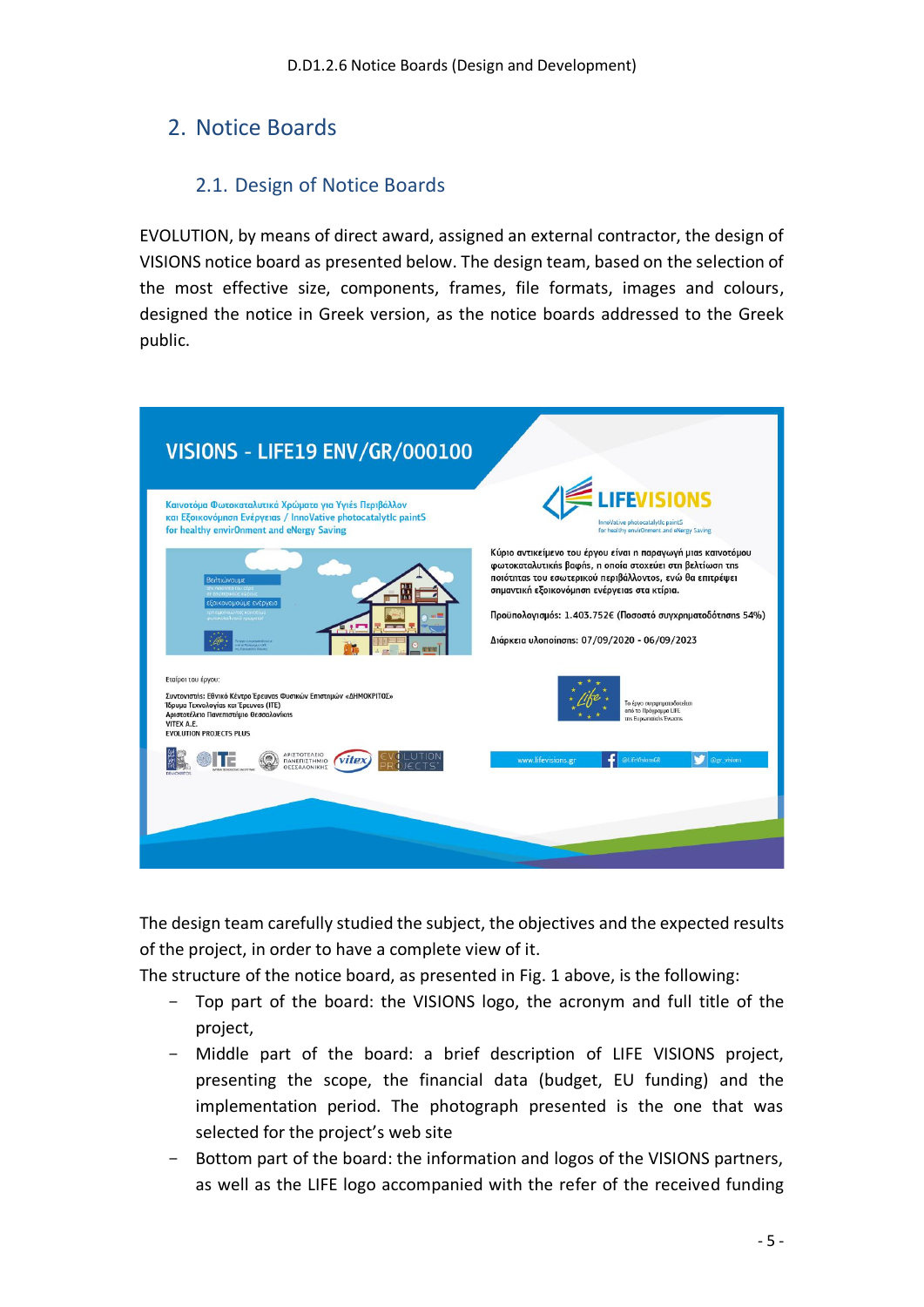#### <span id="page-4-0"></span>2. Notice Boards

#### 2.1. Design of Notice Boards

<span id="page-4-1"></span>EVOLUTION, by means of direct award, assigned an external contractor, the design of VISIONS notice board as presented below. The design team, based on the selection of the most effective size, components, frames, file formats, images and colours, designed the notice in Greek version, as the notice boards addressed to the Greek public.



The design team carefully studied the subject, the objectives and the expected results of the project, in order to have a complete view of it.

The structure of the notice board, as presented in Fig. 1 above, is the following:

- Top part of the board: the VISIONS logo, the acronym and full title of the project,
- Middle part of the board: a brief description of LIFE VISIONS project, presenting the scope, the financial data (budget, EU funding) and the implementation period. The photograph presented is the one that was selected for the project's web site
- Bottom part of the board: the information and logos of the VISIONS partners, as well as the LIFE logo accompanied with the refer of the received funding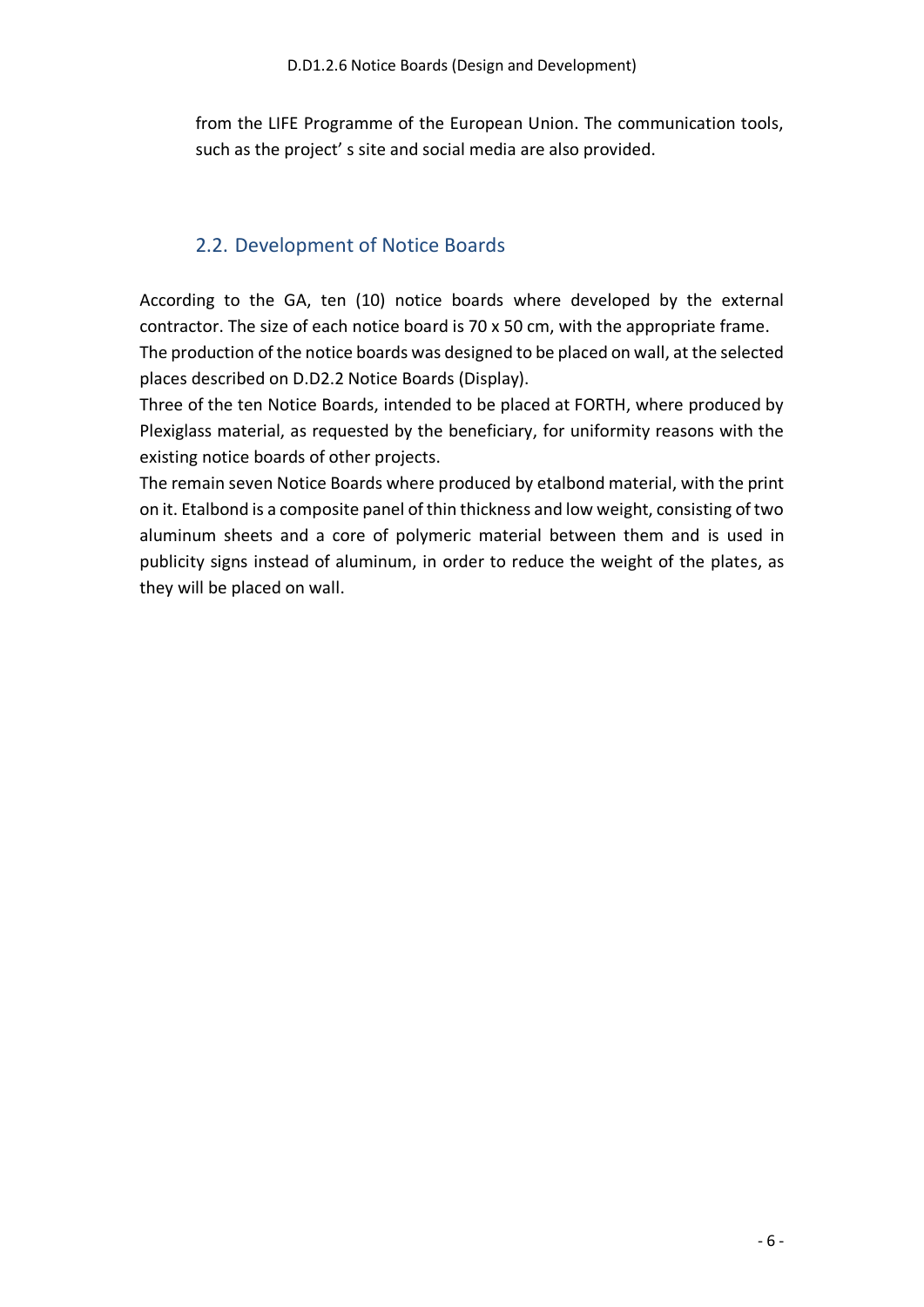from the LIFE Programme of the European Union. The communication tools, such as the project' s site and social media are also provided.

#### <span id="page-5-0"></span>2.2. Development of Notice Boards

According to the GA, ten (10) notice boards where developed by the external contractor. The size of each notice board is 70 x 50 cm, with the appropriate frame. The production of the notice boards was designed to be placed on wall, at the selected places described on D.D2.2 Notice Boards (Display).

Three of the ten Notice Boards, intended to be placed at FORTH, where produced by Plexiglass material, as requested by the beneficiary, for uniformity reasons with the existing notice boards of other projects.

The remain seven Notice Boards where produced by etalbond material, with the print on it. Etalbond is a composite panel of thin thickness and low weight, consisting of two aluminum sheets and a core of polymeric material between them and is used in publicity signs instead of aluminum, in order to reduce the weight of the plates, as they will be placed on wall.